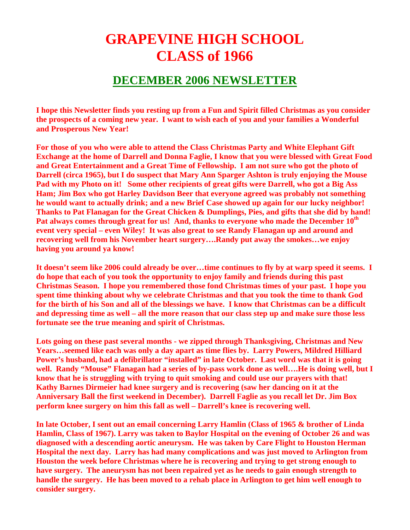## **GRAPEVINE HIGH SCHOOL CLASS of 1966**

## **DECEMBER 2006 NEWSLETTER**

**I hope this Newsletter finds you resting up from a Fun and Spirit filled Christmas as you consider the prospects of a coming new year. I want to wish each of you and your families a Wonderful and Prosperous New Year!** 

**For those of you who were able to attend the Class Christmas Party and White Elephant Gift Exchange at the home of Darrell and Donna Faglie, I know that you were blessed with Great Food and Great Entertainment and a Great Time of Fellowship. I am not sure who got the photo of Darrell (circa 1965), but I do suspect that Mary Ann Sparger Ashton is truly enjoying the Mouse Pad with my Photo on it! Some other recipients of great gifts were Darrell, who got a Big Ass Ham; Jim Box who got Harley Davidson Beer that everyone agreed was probably not something he would want to actually drink; and a new Brief Case showed up again for our lucky neighbor! Thanks to Pat Flanagan for the Great Chicken & Dumplings, Pies, and gifts that she did by hand! Pat always comes through great for us! And, thanks to everyone who made the December 10th event very special – even Wiley! It was also great to see Randy Flanagan up and around and recovering well from his November heart surgery….Randy put away the smokes…we enjoy having you around ya know!** 

**It doesn't seem like 2006 could already be over…time continues to fly by at warp speed it seems. I do hope that each of you took the opportunity to enjoy family and friends during this past Christmas Season. I hope you remembered those fond Christmas times of your past. I hope you spent time thinking about why we celebrate Christmas and that you took the time to thank God for the birth of his Son and all of the blessings we have. I know that Christmas can be a difficult and depressing time as well – all the more reason that our class step up and make sure those less fortunate see the true meaning and spirit of Christmas.** 

**Lots going on these past several months - we zipped through Thanksgiving, Christmas and New Years…seemed like each was only a day apart as time flies by. Larry Powers, Mildred Hilliard Power's husband, had a defibrillator "installed" in late October. Last word was that it is going well. Randy "Mouse" Flanagan had a series of by-pass work done as well….He is doing well, but I know that he is struggling with trying to quit smoking and could use our prayers with that! Kathy Barnes Dirmeier had knee surgery and is recovering (saw her dancing on it at the Anniversary Ball the first weekend in December). Darrell Faglie as you recall let Dr. Jim Box perform knee surgery on him this fall as well – Darrell's knee is recovering well.** 

**In late October, I sent out an email concerning Larry Hamlin (Class of 1965 & brother of Linda Hamlin, Class of 1967). Larry was taken to Baylor Hospital on the evening of October 26 and was diagnosed with a descending aortic aneurysm. He was taken by Care Flight to Houston Herman Hospital the next day. Larry has had many complications and was just moved to Arlington from Houston the week before Christmas where he is recovering and trying to get strong enough to have surgery. The aneurysm has not been repaired yet as he needs to gain enough strength to handle the surgery. He has been moved to a rehab place in Arlington to get him well enough to consider surgery.**